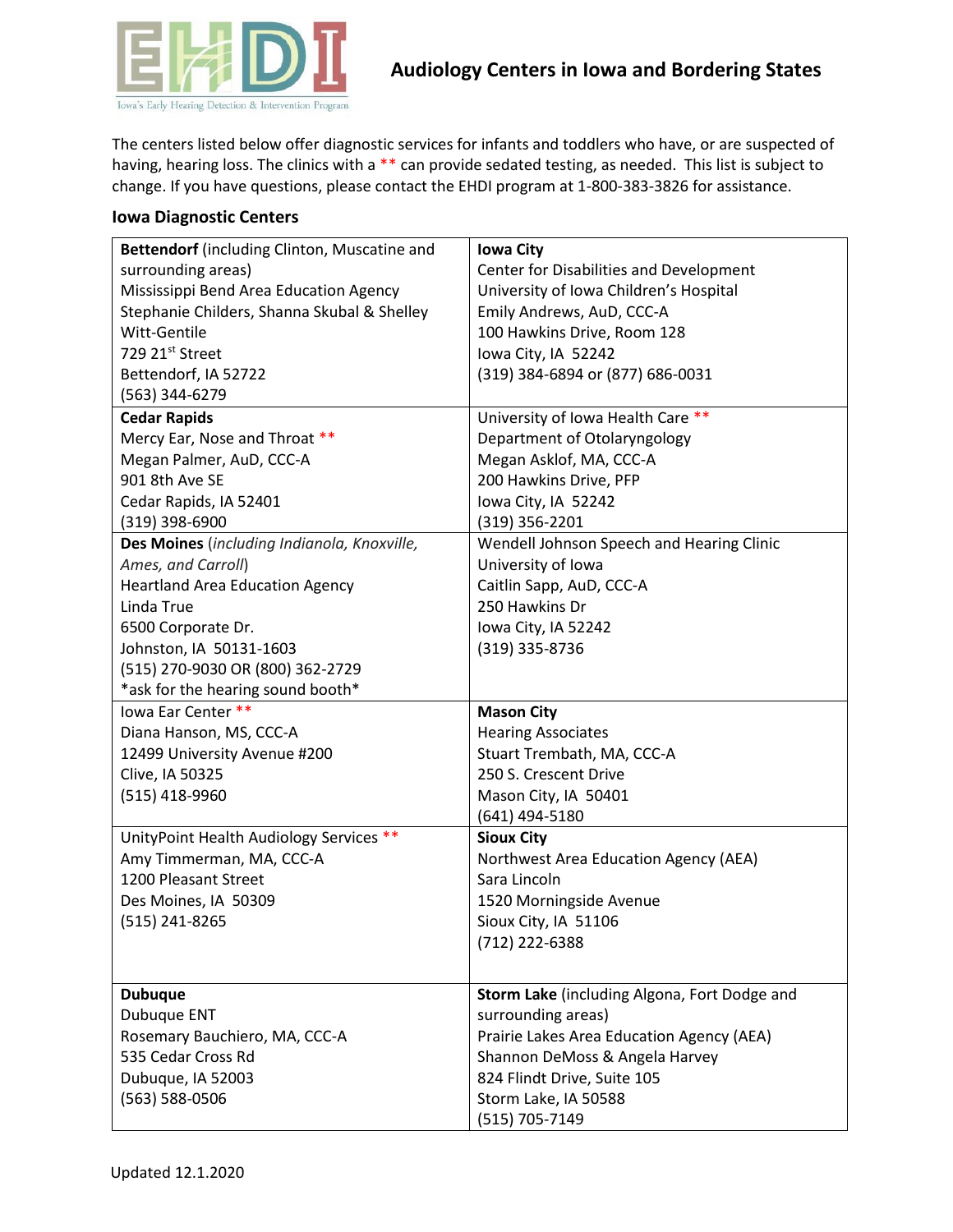

The centers listed below offer diagnostic services for infants and toddlers who have, or are suspected of having, hearing loss. The clinics with a \*\* can provide sedated testing, as needed. This list is subject to change. If you have questions, please contact the EHDI program at 1-800-383-3826 for assistance.

## **Iowa Diagnostic Centers**

| Center for Disabilities and Development<br>surrounding areas)<br>Mississippi Bend Area Education Agency<br>University of Iowa Children's Hospital<br>Stephanie Childers, Shanna Skubal & Shelley<br>Emily Andrews, AuD, CCC-A<br>Witt-Gentile<br>100 Hawkins Drive, Room 128<br>729 21st Street<br>Iowa City, IA 52242<br>Bettendorf, IA 52722<br>(319) 384-6894 or (877) 686-0031<br>(563) 344-6279<br><b>Cedar Rapids</b><br>University of Iowa Health Care **<br>Mercy Ear, Nose and Throat **<br>Department of Otolaryngology<br>Megan Palmer, AuD, CCC-A<br>Megan Asklof, MA, CCC-A<br>200 Hawkins Drive, PFP<br>901 8th Ave SE | Bettendorf (including Clinton, Muscatine and | <b>Iowa City</b>    |
|--------------------------------------------------------------------------------------------------------------------------------------------------------------------------------------------------------------------------------------------------------------------------------------------------------------------------------------------------------------------------------------------------------------------------------------------------------------------------------------------------------------------------------------------------------------------------------------------------------------------------------------|----------------------------------------------|---------------------|
|                                                                                                                                                                                                                                                                                                                                                                                                                                                                                                                                                                                                                                      |                                              |                     |
|                                                                                                                                                                                                                                                                                                                                                                                                                                                                                                                                                                                                                                      |                                              |                     |
|                                                                                                                                                                                                                                                                                                                                                                                                                                                                                                                                                                                                                                      |                                              |                     |
|                                                                                                                                                                                                                                                                                                                                                                                                                                                                                                                                                                                                                                      |                                              |                     |
|                                                                                                                                                                                                                                                                                                                                                                                                                                                                                                                                                                                                                                      |                                              |                     |
|                                                                                                                                                                                                                                                                                                                                                                                                                                                                                                                                                                                                                                      |                                              |                     |
|                                                                                                                                                                                                                                                                                                                                                                                                                                                                                                                                                                                                                                      |                                              |                     |
|                                                                                                                                                                                                                                                                                                                                                                                                                                                                                                                                                                                                                                      |                                              |                     |
|                                                                                                                                                                                                                                                                                                                                                                                                                                                                                                                                                                                                                                      |                                              |                     |
|                                                                                                                                                                                                                                                                                                                                                                                                                                                                                                                                                                                                                                      |                                              |                     |
|                                                                                                                                                                                                                                                                                                                                                                                                                                                                                                                                                                                                                                      |                                              |                     |
|                                                                                                                                                                                                                                                                                                                                                                                                                                                                                                                                                                                                                                      | Cedar Rapids, IA 52401                       | Iowa City, IA 52242 |
| $(319)$ 398-6900<br>$(319)$ 356-2201                                                                                                                                                                                                                                                                                                                                                                                                                                                                                                                                                                                                 |                                              |                     |
| Des Moines (including Indianola, Knoxville,<br>Wendell Johnson Speech and Hearing Clinic                                                                                                                                                                                                                                                                                                                                                                                                                                                                                                                                             |                                              |                     |
| Ames, and Carroll)<br>University of Iowa                                                                                                                                                                                                                                                                                                                                                                                                                                                                                                                                                                                             |                                              |                     |
| <b>Heartland Area Education Agency</b><br>Caitlin Sapp, AuD, CCC-A                                                                                                                                                                                                                                                                                                                                                                                                                                                                                                                                                                   |                                              |                     |
| 250 Hawkins Dr<br>Linda True                                                                                                                                                                                                                                                                                                                                                                                                                                                                                                                                                                                                         |                                              |                     |
| 6500 Corporate Dr.<br>Iowa City, IA 52242                                                                                                                                                                                                                                                                                                                                                                                                                                                                                                                                                                                            |                                              |                     |
| Johnston, IA 50131-1603<br>(319) 335-8736                                                                                                                                                                                                                                                                                                                                                                                                                                                                                                                                                                                            |                                              |                     |
| (515) 270-9030 OR (800) 362-2729                                                                                                                                                                                                                                                                                                                                                                                                                                                                                                                                                                                                     |                                              |                     |
| *ask for the hearing sound booth*                                                                                                                                                                                                                                                                                                                                                                                                                                                                                                                                                                                                    |                                              |                     |
| lowa Ear Center **<br><b>Mason City</b>                                                                                                                                                                                                                                                                                                                                                                                                                                                                                                                                                                                              |                                              |                     |
| Diana Hanson, MS, CCC-A<br><b>Hearing Associates</b>                                                                                                                                                                                                                                                                                                                                                                                                                                                                                                                                                                                 |                                              |                     |
| 12499 University Avenue #200<br>Stuart Trembath, MA, CCC-A                                                                                                                                                                                                                                                                                                                                                                                                                                                                                                                                                                           |                                              |                     |
| Clive, IA 50325<br>250 S. Crescent Drive                                                                                                                                                                                                                                                                                                                                                                                                                                                                                                                                                                                             |                                              |                     |
| (515) 418-9960<br>Mason City, IA 50401                                                                                                                                                                                                                                                                                                                                                                                                                                                                                                                                                                                               |                                              |                     |
| (641) 494-5180                                                                                                                                                                                                                                                                                                                                                                                                                                                                                                                                                                                                                       |                                              |                     |
| UnityPoint Health Audiology Services **<br><b>Sioux City</b>                                                                                                                                                                                                                                                                                                                                                                                                                                                                                                                                                                         |                                              |                     |
| Amy Timmerman, MA, CCC-A<br>Northwest Area Education Agency (AEA)                                                                                                                                                                                                                                                                                                                                                                                                                                                                                                                                                                    |                                              |                     |
| 1200 Pleasant Street<br>Sara Lincoln                                                                                                                                                                                                                                                                                                                                                                                                                                                                                                                                                                                                 |                                              |                     |
| Des Moines, IA 50309<br>1520 Morningside Avenue                                                                                                                                                                                                                                                                                                                                                                                                                                                                                                                                                                                      |                                              |                     |
| (515) 241-8265<br>Sioux City, IA 51106                                                                                                                                                                                                                                                                                                                                                                                                                                                                                                                                                                                               |                                              |                     |
| (712) 222-6388                                                                                                                                                                                                                                                                                                                                                                                                                                                                                                                                                                                                                       |                                              |                     |
|                                                                                                                                                                                                                                                                                                                                                                                                                                                                                                                                                                                                                                      |                                              |                     |
| Storm Lake (including Algona, Fort Dodge and<br><b>Dubuque</b>                                                                                                                                                                                                                                                                                                                                                                                                                                                                                                                                                                       |                                              |                     |
| surrounding areas)<br>Dubuque ENT                                                                                                                                                                                                                                                                                                                                                                                                                                                                                                                                                                                                    |                                              |                     |
| Prairie Lakes Area Education Agency (AEA)<br>Rosemary Bauchiero, MA, CCC-A                                                                                                                                                                                                                                                                                                                                                                                                                                                                                                                                                           |                                              |                     |
| 535 Cedar Cross Rd<br>Shannon DeMoss & Angela Harvey                                                                                                                                                                                                                                                                                                                                                                                                                                                                                                                                                                                 |                                              |                     |
| Dubuque, IA 52003<br>824 Flindt Drive, Suite 105                                                                                                                                                                                                                                                                                                                                                                                                                                                                                                                                                                                     |                                              |                     |
| (563) 588-0506<br>Storm Lake, IA 50588                                                                                                                                                                                                                                                                                                                                                                                                                                                                                                                                                                                               |                                              |                     |
| (515) 705-7149                                                                                                                                                                                                                                                                                                                                                                                                                                                                                                                                                                                                                       |                                              |                     |